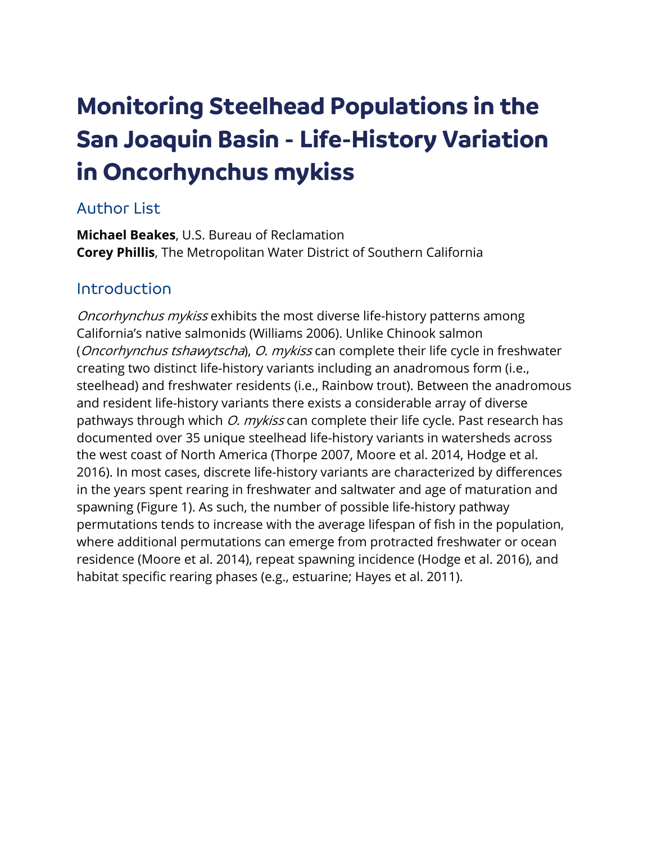# **Monitoring Steelhead Populations in the San Joaquin Basin - Life-History Variation in Oncorhynchus mykiss**

## Author List

**Michael Beakes**, U.S. Bureau of Reclamation **Corey Phillis**, The Metropolitan Water District of Southern California

## Introduction

Oncorhynchus mykiss exhibits the most diverse life-history patterns among California's native salmonids (Williams 2006). Unlike Chinook salmon (*Oncorhynchus tshawytscha*), *O. mykiss* can complete their life cycle in freshwater creating two distinct life-history variants including an anadromous form (i.e., steelhead) and freshwater residents (i.e., Rainbow trout). Between the anadromous and resident life-history variants there exists a considerable array of diverse pathways through which *O. mykiss* can complete their life cycle. Past research has documented over 35 unique steelhead life-history variants in watersheds across the west coast of North America (Thorpe 2007, Moore et al. 2014, Hodge et al. 2016). In most cases, discrete life-history variants are characterized by differences in the years spent rearing in freshwater and saltwater and age of maturation and spawning (Figure 1). As such, the number of possible life-history pathway permutations tends to increase with the average lifespan of fish in the population, where additional permutations can emerge from protracted freshwater or ocean residence (Moore et al. 2014), repeat spawning incidence (Hodge et al. 2016), and habitat specific rearing phases (e.g., estuarine; Hayes et al. 2011).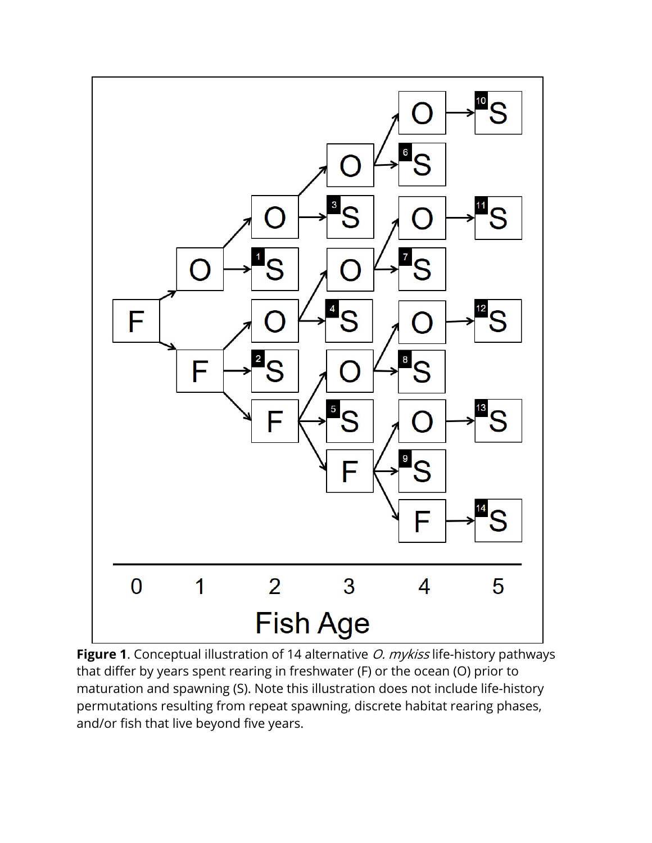

Figure 1. Conceptual illustration of 14 alternative *O. mykiss* life-history pathways that differ by years spent rearing in freshwater (F) or the ocean (O) prior to maturation and spawning (S). Note this illustration does not include life-history permutations resulting from repeat spawning, discrete habitat rearing phases, and/or fish that live beyond five years.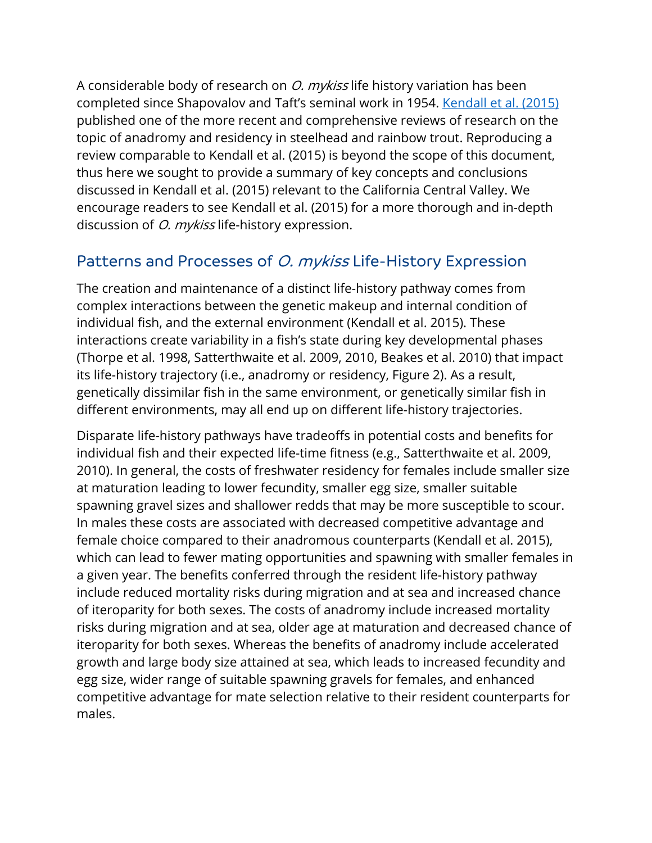A considerable body of research on *O. mykiss* life history variation has been completed since Shapovalov and Taft's seminal work in 1954. [Kendall](https://cdnsciencepub.com/doi/pdf/10.1139/cjfas-2014-0192) et al. (2015) published one of the more recent and comprehensive reviews of research on the topic of anadromy and residency in steelhead and rainbow trout. Reproducing a review comparable to Kendall et al. (2015) is beyond the scope of this document, thus here we sought to provide a summary of key concepts and conclusions discussed in Kendall et al. (2015) relevant to the California Central Valley. We encourage readers to see Kendall et al. (2015) for a more thorough and in-depth discussion of *O. mykiss* life-history expression.

## Patterns and Processes of *O. mykiss* Life-History Expression

The creation and maintenance of a distinct life-history pathway comes from complex interactions between the genetic makeup and internal condition of individual fish, and the external environment (Kendall et al. 2015). These interactions create variability in a fish's state during key developmental phases (Thorpe et al. 1998, Satterthwaite et al. 2009, 2010, Beakes et al. 2010) that impact its life-history trajectory (i.e., anadromy or residency, Figure 2). As a result, genetically dissimilar fish in the same environment, or genetically similar fish in different environments, may all end up on different life-history trajectories.

Disparate life-history pathways have tradeoffs in potential costs and benefits for individual fish and their expected life-time fitness (e.g., Satterthwaite et al. 2009, 2010). In general, the costs of freshwater residency for females include smaller size at maturation leading to lower fecundity, smaller egg size, smaller suitable spawning gravel sizes and shallower redds that may be more susceptible to scour. In males these costs are associated with decreased competitive advantage and female choice compared to their anadromous counterparts (Kendall et al. 2015), which can lead to fewer mating opportunities and spawning with smaller females in a given year. The benefits conferred through the resident life-history pathway include reduced mortality risks during migration and at sea and increased chance of iteroparity for both sexes. The costs of anadromy include increased mortality risks during migration and at sea, older age at maturation and decreased chance of iteroparity for both sexes. Whereas the benefits of anadromy include accelerated growth and large body size attained at sea, which leads to increased fecundity and egg size, wider range of suitable spawning gravels for females, and enhanced competitive advantage for mate selection relative to their resident counterparts for males.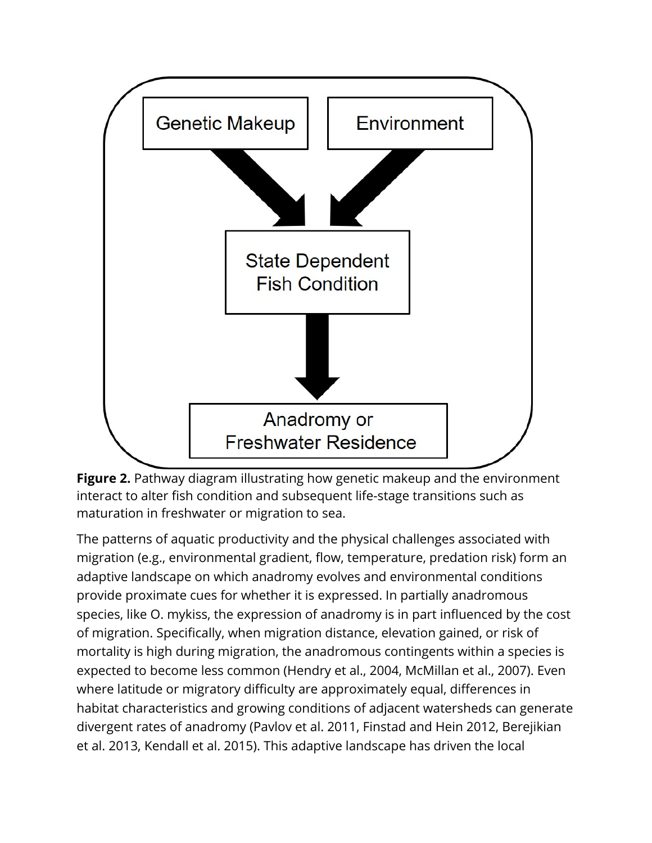

**Figure 2.** Pathway diagram illustrating how genetic makeup and the environment interact to alter fish condition and subsequent life-stage transitions such as maturation in freshwater or migration to sea.

The patterns of aquatic productivity and the physical challenges associated with migration (e.g., environmental gradient, flow, temperature, predation risk) form an adaptive landscape on which anadromy evolves and environmental conditions provide proximate cues for whether it is expressed. In partially anadromous species, like O. mykiss, the expression of anadromy is in part influenced by the cost of migration. Specifically, when migration distance, elevation gained, or risk of mortality is high during migration, the anadromous contingents within a species is expected to become less common (Hendry et al., 2004, McMillan et al., 2007). Even where latitude or migratory difficulty are approximately equal, differences in habitat characteristics and growing conditions of adjacent watersheds can generate divergent rates of anadromy (Pavlov et al. 2011, Finstad and Hein 2012, Berejikian et al. 2013, Kendall et al. 2015). This adaptive landscape has driven the local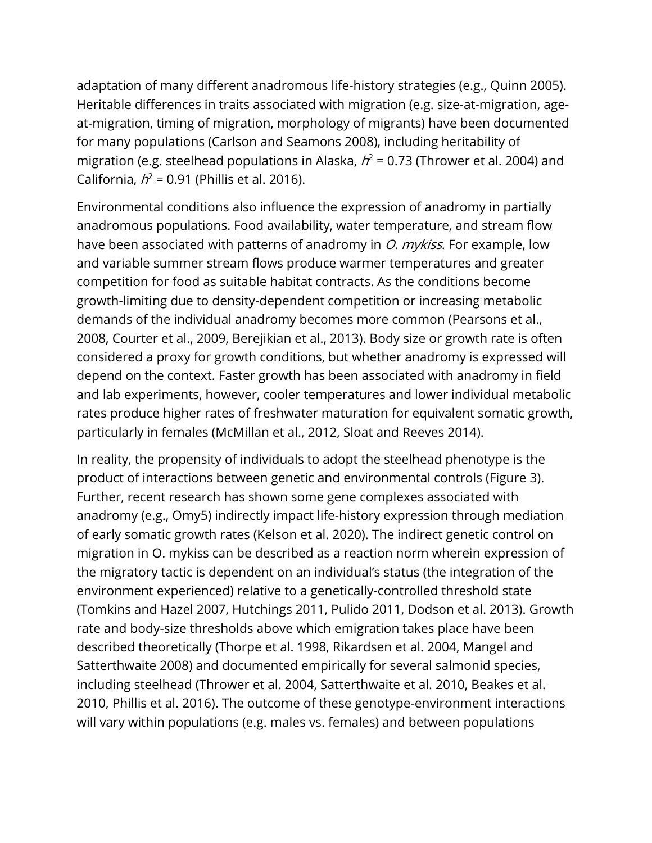adaptation of many different anadromous life-history strategies (e.g., Quinn 2005). Heritable differences in traits associated with migration (e.g. size-at-migration, ageat-migration, timing of migration, morphology of migrants) have been documented for many populations (Carlson and Seamons 2008), including heritability of migration (e.g. steelhead populations in Alaska,  $h^2$  = 0.73 (Thrower et al. 2004) and California,  $h^2$  = 0.91 (Phillis et al. 2016).

Environmental conditions also influence the expression of anadromy in partially anadromous populations. Food availability, water temperature, and stream flow have been associated with patterns of anadromy in *O. mykiss*. For example, low and variable summer stream flows produce warmer temperatures and greater competition for food as suitable habitat contracts. As the conditions become growth-limiting due to density-dependent competition or increasing metabolic demands of the individual anadromy becomes more common (Pearsons et al., 2008, Courter et al., 2009, Berejikian et al., 2013). Body size or growth rate is often considered a proxy for growth conditions, but whether anadromy is expressed will depend on the context. Faster growth has been associated with anadromy in field and lab experiments, however, cooler temperatures and lower individual metabolic rates produce higher rates of freshwater maturation for equivalent somatic growth, particularly in females (McMillan et al., 2012, Sloat and Reeves 2014).

In reality, the propensity of individuals to adopt the steelhead phenotype is the product of interactions between genetic and environmental controls (Figure 3). Further, recent research has shown some gene complexes associated with anadromy (e.g., Omy5) indirectly impact life-history expression through mediation of early somatic growth rates (Kelson et al. 2020). The indirect genetic control on migration in O. mykiss can be described as a reaction norm wherein expression of the migratory tactic is dependent on an individual's status (the integration of the environment experienced) relative to a genetically-controlled threshold state (Tomkins and Hazel 2007, Hutchings 2011, Pulido 2011, Dodson et al. 2013). Growth rate and body-size thresholds above which emigration takes place have been described theoretically (Thorpe et al. 1998, Rikardsen et al. 2004, Mangel and Satterthwaite 2008) and documented empirically for several salmonid species, including steelhead (Thrower et al. 2004, Satterthwaite et al. 2010, Beakes et al. 2010, Phillis et al. 2016). The outcome of these genotype-environment interactions will vary within populations (e.g. males vs. females) and between populations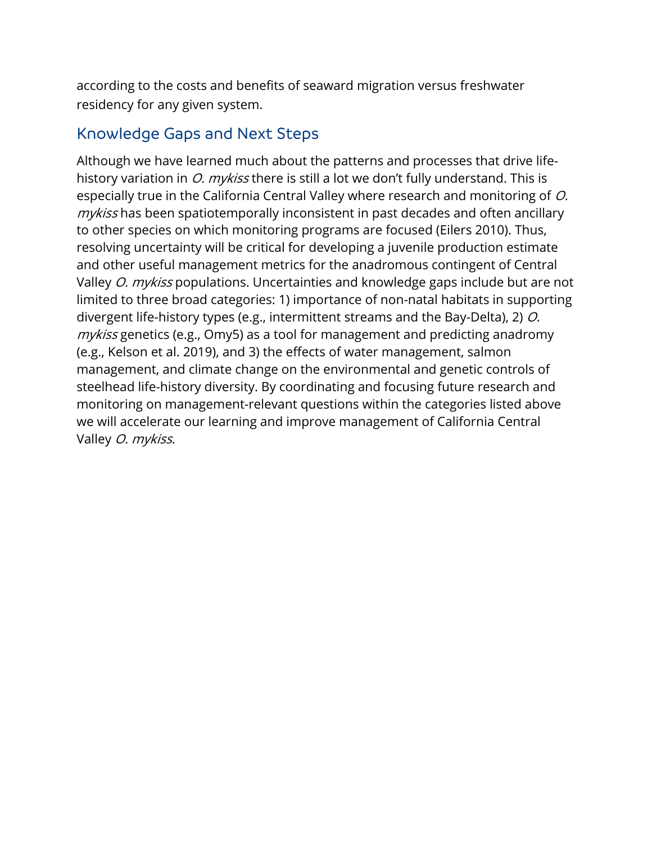according to the costs and benefits of seaward migration versus freshwater residency for any given system.

## Knowledge Gaps and Next Steps

Although we have learned much about the patterns and processes that drive lifehistory variation in  $O$ . *mykiss* there is still a lot we don't fully understand. This is especially true in the California Central Valley where research and monitoring of O. mykiss has been spatiotemporally inconsistent in past decades and often ancillary to other species on which monitoring programs are focused (Eilers 2010). Thus, resolving uncertainty will be critical for developing a juvenile production estimate and other useful management metrics for the anadromous contingent of Central Valley *O. mykiss* populations. Uncertainties and knowledge gaps include but are not limited to three broad categories: 1) importance of non-natal habitats in supporting divergent life-history types (e.g., intermittent streams and the Bay-Delta), 2) O. mykiss genetics (e.g., Omy5) as a tool for management and predicting anadromy (e.g., Kelson et al. 2019), and 3) the effects of water management, salmon management, and climate change on the environmental and genetic controls of steelhead life-history diversity. By coordinating and focusing future research and monitoring on management-relevant questions within the categories listed above we will accelerate our learning and improve management of California Central Valley O. mykiss.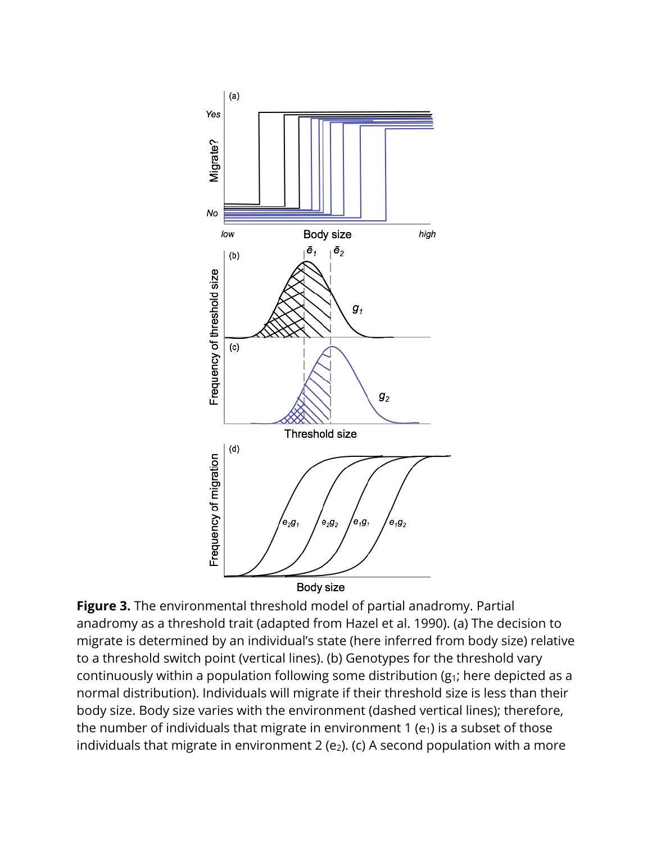

**Figure 3.** The environmental threshold model of partial anadromy. Partial anadromy as a threshold trait (adapted from Hazel et al. 1990). (a) The decision to migrate is determined by an individual's state (here inferred from body size) relative to a threshold switch point (vertical lines). (b) Genotypes for the threshold vary continuously within a population following some distribution  $(g_1;$  here depicted as a normal distribution). Individuals will migrate if their threshold size is less than their body size. Body size varies with the environment (dashed vertical lines); therefore, the number of individuals that migrate in environment 1 ( $e_1$ ) is a subset of those individuals that migrate in environment 2 (e<sub>2</sub>). (c) A second population with a more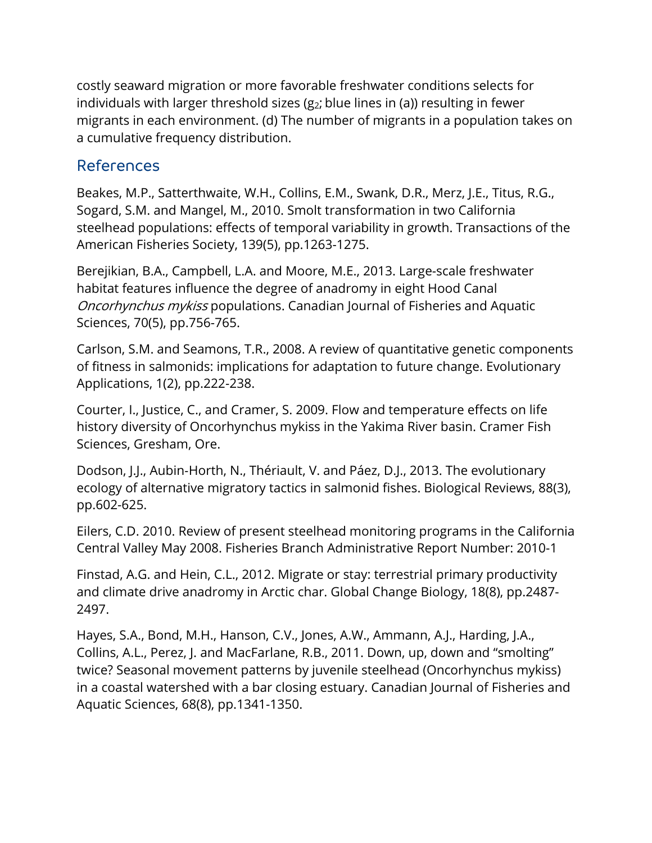costly seaward migration or more favorable freshwater conditions selects for individuals with larger threshold sizes  $(g_2;$  blue lines in (a)) resulting in fewer migrants in each environment. (d) The number of migrants in a population takes on a cumulative frequency distribution.

## References

Beakes, M.P., Satterthwaite, W.H., Collins, E.M., Swank, D.R., Merz, J.E., Titus, R.G., Sogard, S.M. and Mangel, M., 2010. Smolt transformation in two California steelhead populations: effects of temporal variability in growth. Transactions of the American Fisheries Society, 139(5), pp.1263-1275.

Berejikian, B.A., Campbell, L.A. and Moore, M.E., 2013. Large-scale freshwater habitat features influence the degree of anadromy in eight Hood Canal Oncorhynchus mykiss populations. Canadian Journal of Fisheries and Aquatic Sciences, 70(5), pp.756-765.

Carlson, S.M. and Seamons, T.R., 2008. A review of quantitative genetic components of fitness in salmonids: implications for adaptation to future change. Evolutionary Applications, 1(2), pp.222-238.

Courter, I., Justice, C., and Cramer, S. 2009. Flow and temperature effects on life history diversity of Oncorhynchus mykiss in the Yakima River basin. Cramer Fish Sciences, Gresham, Ore.

Dodson, J.J., Aubin‐Horth, N., Thériault, V. and Páez, D.J., 2013. The evolutionary ecology of alternative migratory tactics in salmonid fishes. Biological Reviews, 88(3), pp.602-625.

Eilers, C.D. 2010. Review of present steelhead monitoring programs in the California Central Valley May 2008. Fisheries Branch Administrative Report Number: 2010-1

Finstad, A.G. and Hein, C.L., 2012. Migrate or stay: terrestrial primary productivity and climate drive anadromy in Arctic char. Global Change Biology, 18(8), pp.2487- 2497.

Hayes, S.A., Bond, M.H., Hanson, C.V., Jones, A.W., Ammann, A.J., Harding, J.A., Collins, A.L., Perez, J. and MacFarlane, R.B., 2011. Down, up, down and "smolting" twice? Seasonal movement patterns by juvenile steelhead (Oncorhynchus mykiss) in a coastal watershed with a bar closing estuary. Canadian Journal of Fisheries and Aquatic Sciences, 68(8), pp.1341-1350.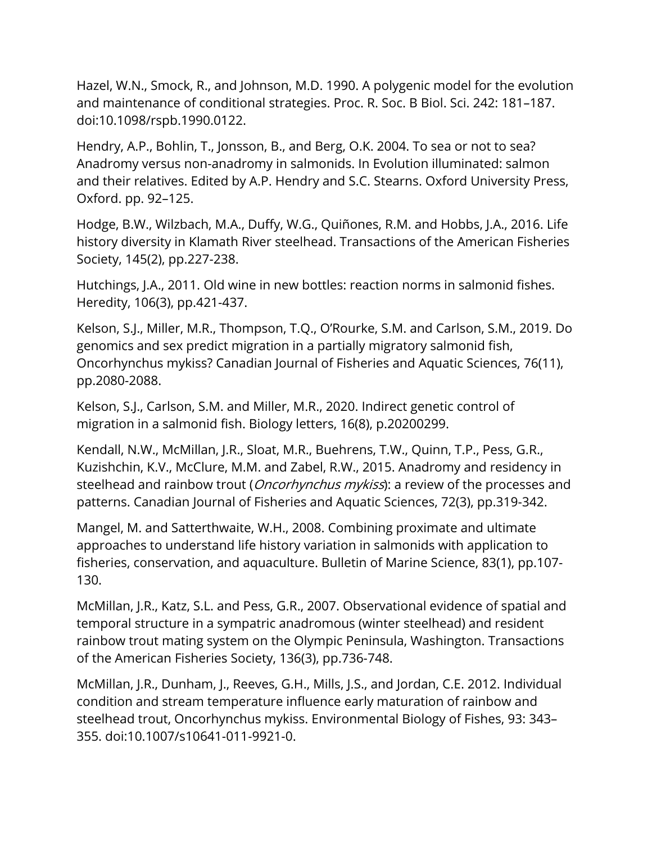Hazel, W.N., Smock, R., and Johnson, M.D. 1990. A polygenic model for the evolution and maintenance of conditional strategies. Proc. R. Soc. B Biol. Sci. 242: 181–187. doi:10.1098/rspb.1990.0122.

Hendry, A.P., Bohlin, T., Jonsson, B., and Berg, O.K. 2004. To sea or not to sea? Anadromy versus non-anadromy in salmonids. In Evolution illuminated: salmon and their relatives. Edited by A.P. Hendry and S.C. Stearns. Oxford University Press, Oxford. pp. 92–125.

Hodge, B.W., Wilzbach, M.A., Duffy, W.G., Quiñones, R.M. and Hobbs, J.A., 2016. Life history diversity in Klamath River steelhead. Transactions of the American Fisheries Society, 145(2), pp.227-238.

Hutchings, J.A., 2011. Old wine in new bottles: reaction norms in salmonid fishes. Heredity, 106(3), pp.421-437.

Kelson, S.J., Miller, M.R., Thompson, T.Q., O'Rourke, S.M. and Carlson, S.M., 2019. Do genomics and sex predict migration in a partially migratory salmonid fish, Oncorhynchus mykiss? Canadian Journal of Fisheries and Aquatic Sciences, 76(11), pp.2080-2088.

Kelson, S.J., Carlson, S.M. and Miller, M.R., 2020. Indirect genetic control of migration in a salmonid fish. Biology letters, 16(8), p.20200299.

Kendall, N.W., McMillan, J.R., Sloat, M.R., Buehrens, T.W., Quinn, T.P., Pess, G.R., Kuzishchin, K.V., McClure, M.M. and Zabel, R.W., 2015. Anadromy and residency in steelhead and rainbow trout (*Oncorhynchus mykiss*): a review of the processes and patterns. Canadian Journal of Fisheries and Aquatic Sciences, 72(3), pp.319-342.

Mangel, M. and Satterthwaite, W.H., 2008. Combining proximate and ultimate approaches to understand life history variation in salmonids with application to fisheries, conservation, and aquaculture. Bulletin of Marine Science, 83(1), pp.107- 130.

McMillan, J.R., Katz, S.L. and Pess, G.R., 2007. Observational evidence of spatial and temporal structure in a sympatric anadromous (winter steelhead) and resident rainbow trout mating system on the Olympic Peninsula, Washington. Transactions of the American Fisheries Society, 136(3), pp.736-748.

McMillan, J.R., Dunham, J., Reeves, G.H., Mills, J.S., and Jordan, C.E. 2012. Individual condition and stream temperature influence early maturation of rainbow and steelhead trout, Oncorhynchus mykiss. Environmental Biology of Fishes, 93: 343– 355. doi:10.1007/s10641-011-9921-0.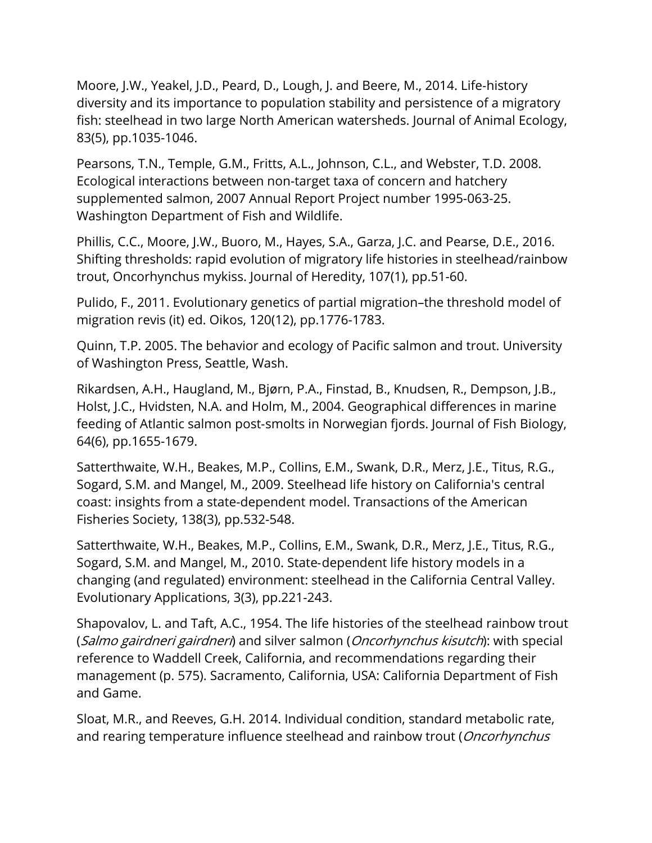Moore, J.W., Yeakel, J.D., Peard, D., Lough, J. and Beere, M., 2014. Life‐history diversity and its importance to population stability and persistence of a migratory fish: steelhead in two large North American watersheds. Journal of Animal Ecology, 83(5), pp.1035-1046.

Pearsons, T.N., Temple, G.M., Fritts, A.L., Johnson, C.L., and Webster, T.D. 2008. Ecological interactions between non-target taxa of concern and hatchery supplemented salmon, 2007 Annual Report Project number 1995-063-25. Washington Department of Fish and Wildlife.

Phillis, C.C., Moore, J.W., Buoro, M., Hayes, S.A., Garza, J.C. and Pearse, D.E., 2016. Shifting thresholds: rapid evolution of migratory life histories in steelhead/rainbow trout, Oncorhynchus mykiss. Journal of Heredity, 107(1), pp.51-60.

Pulido, F., 2011. Evolutionary genetics of partial migration–the threshold model of migration revis (it) ed. Oikos, 120(12), pp.1776-1783.

Quinn, T.P. 2005. The behavior and ecology of Pacific salmon and trout. University of Washington Press, Seattle, Wash.

Rikardsen, A.H., Haugland, M., Bjørn, P.A., Finstad, B., Knudsen, R., Dempson, J.B., Holst, J.C., Hvidsten, N.A. and Holm, M., 2004. Geographical differences in marine feeding of Atlantic salmon post‐smolts in Norwegian fjords. Journal of Fish Biology, 64(6), pp.1655-1679.

Satterthwaite, W.H., Beakes, M.P., Collins, E.M., Swank, D.R., Merz, J.E., Titus, R.G., Sogard, S.M. and Mangel, M., 2009. Steelhead life history on California's central coast: insights from a state-dependent model. Transactions of the American Fisheries Society, 138(3), pp.532-548.

Satterthwaite, W.H., Beakes, M.P., Collins, E.M., Swank, D.R., Merz, J.E., Titus, R.G., Sogard, S.M. and Mangel, M., 2010. State‐dependent life history models in a changing (and regulated) environment: steelhead in the California Central Valley. Evolutionary Applications, 3(3), pp.221-243.

Shapovalov, L. and Taft, A.C., 1954. The life histories of the steelhead rainbow trout (Salmo gairdneri gairdneri) and silver salmon (Oncorhynchus kisutch): with special reference to Waddell Creek, California, and recommendations regarding their management (p. 575). Sacramento, California, USA: California Department of Fish and Game.

Sloat, M.R., and Reeves, G.H. 2014. Individual condition, standard metabolic rate, and rearing temperature influence steelhead and rainbow trout (*Oncorhynchus*